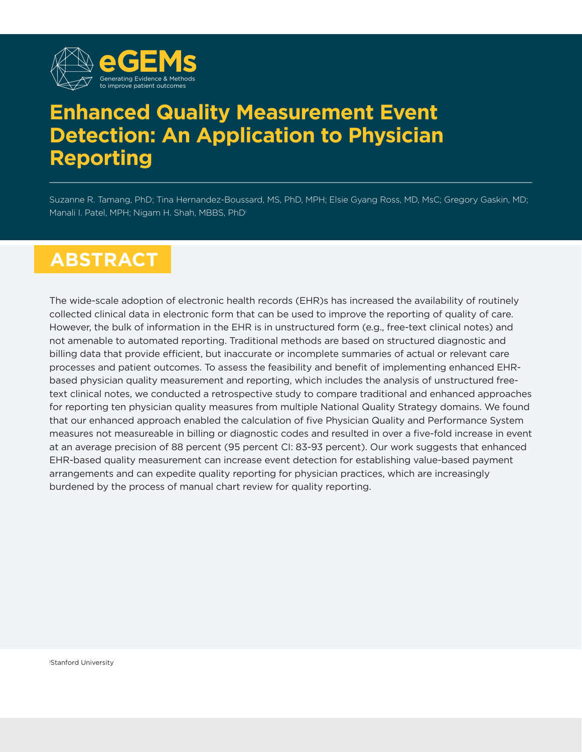

# **Enhanced Quality Measurement Event Detection: An Application to Physician Reporting**

Suzanne R. Tamang, PhD; Tina Hernandez-Boussard, MS, PhD, MPH; Elsie Gyang Ross, MD, MsC; Gregory Gaskin, MD; Manali I. Patel, MPH; Nigam H. Shah, MBBS, PhDi

# **ABSTRACT**

The wide-scale adoption of electronic health records (EHR)s has increased the availability of routinely collected clinical data in electronic form that can be used to improve the reporting of quality of care. However, the bulk of information in the EHR is in unstructured form (e.g., free-text clinical notes) and not amenable to automated reporting. Traditional methods are based on structured diagnostic and billing data that provide efficient, but inaccurate or incomplete summaries of actual or relevant care processes and patient outcomes. To assess the feasibility and benefit of implementing enhanced EHRbased physician quality measurement and reporting, which includes the analysis of unstructured freetext clinical notes, we conducted a retrospective study to compare traditional and enhanced approaches for reporting ten physician quality measures from multiple National Quality Strategy domains. We found that our enhanced approach enabled the calculation of five Physician Quality and Performance System measures not measureable in billing or diagnostic codes and resulted in over a five-fold increase in event at an average precision of 88 percent (95 percent CI: 83-93 percent). Our work suggests that enhanced EHR-based quality measurement can increase event detection for establishing value-based payment arrangements and can expedite quality reporting for physician practices, which are increasingly burdened by the process of manual chart review for quality reporting.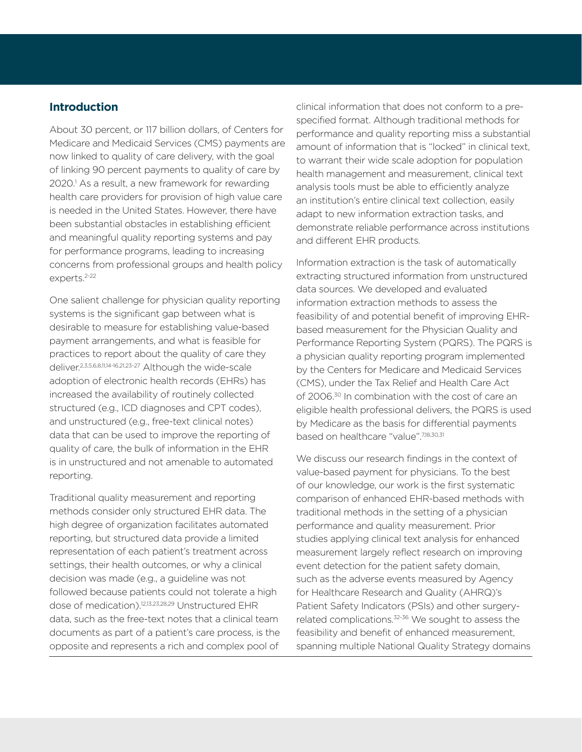# **Introduction**

About 30 percent, or 117 billion dollars, of Centers for Medicare and Medicaid Services (CMS) payments are now linked to quality of care delivery, with the goal of linking 90 percent payments to quality of care by 2020.<sup>1</sup> As a result, a new framework for rewarding health care providers for provision of high value care is needed in the United States. However, there have been substantial obstacles in establishing efficient and meaningful quality reporting systems and pay for performance programs, leading to increasing concerns from professional groups and health policy experts.<sup>2-22</sup>

One salient challenge for physician quality reporting systems is the significant gap between what is desirable to measure for establishing value-based payment arrangements, and what is feasible for practices to report about the quality of care they deliver.2,3,5,6,8,11,14-16,21,23-27 Although the wide-scale adoption of electronic health records (EHRs) has increased the availability of routinely collected structured (e.g., ICD diagnoses and CPT codes), and unstructured (e.g., free-text clinical notes) data that can be used to improve the reporting of quality of care, the bulk of information in the EHR is in unstructured and not amenable to automated reporting.

Traditional quality measurement and reporting methods consider only structured EHR data. The high degree of organization facilitates automated reporting, but structured data provide a limited representation of each patient's treatment across settings, their health outcomes, or why a clinical decision was made (e.g., a guideline was not followed because patients could not tolerate a high dose of medication).12,13,23,28,29 Unstructured EHR data, such as the free-text notes that a clinical team documents as part of a patient's care process, is the opposite and represents a rich and complex pool of

clinical information that does not conform to a prespecified format. Although traditional methods for performance and quality reporting miss a substantial amount of information that is "locked" in clinical text, to warrant their wide scale adoption for population health management and measurement, clinical text analysis tools must be able to efficiently analyze an institution's entire clinical text collection, easily adapt to new information extraction tasks, and demonstrate reliable performance across institutions and different EHR products.

Information extraction is the task of automatically extracting structured information from unstructured data sources. We developed and evaluated information extraction methods to assess the feasibility of and potential benefit of improving EHRbased measurement for the Physician Quality and Performance Reporting System (PQRS). The PQRS is a physician quality reporting program implemented by the Centers for Medicare and Medicaid Services (CMS), under the Tax Relief and Health Care Act of 2006.<sup>30</sup> In combination with the cost of care an eligible health professional delivers, the PQRS is used by Medicare as the basis for differential payments based on healthcare "value".<sup>7,18,30,31</sup>

We discuss our research findings in the context of value-based payment for physicians. To the best of our knowledge, our work is the first systematic comparison of enhanced EHR-based methods with traditional methods in the setting of a physician performance and quality measurement. Prior studies applying clinical text analysis for enhanced measurement largely reflect research on improving event detection for the patient safety domain, such as the adverse events measured by Agency for Healthcare Research and Quality (AHRQ)'s Patient Safety Indicators (PSIs) and other surgeryrelated complications.32-36 We sought to assess the feasibility and benefit of enhanced measurement, spanning multiple National Quality Strategy domains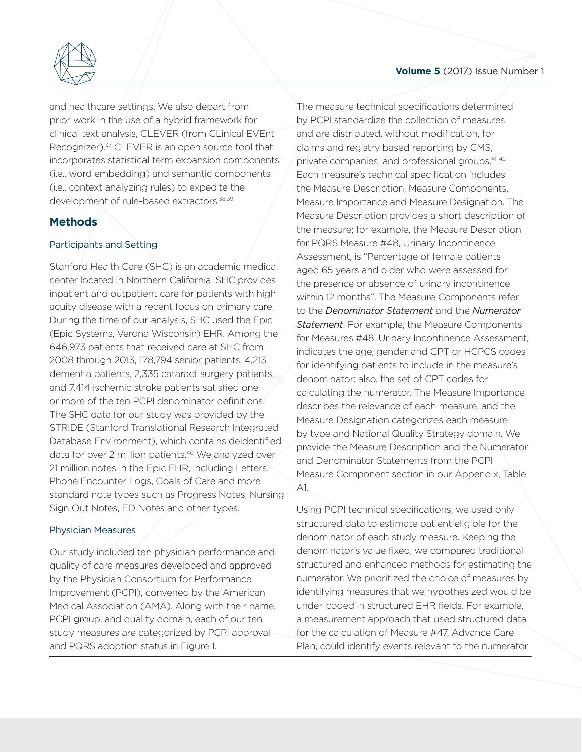

Generating Evidence & Methods clinical text analysis, CLEVER (from CLinical EVEnt and healthcare set<br>prior work in the u development of rule-based extractors.<sup>38,39</sup> (i.e., word embedding)<br>(i.e., context analyzing r)<br>development of rule-ba and healthcare settings. We also depart from prior work in the use of a hybrid framework for Recognizer).<sup>37</sup> CLEVER is an open source tool that incorporates statistical term expansion components (i.e., word embedding) and semantic components (i.e., context analyzing rules) to expedite the

# **Methods**

### Participants and Setting

Stanford Health Care (SHC) is an academic medical center located in Northern California. SHC provides inpatient and outpatient care for patients with high acuity disease with a recent focus on primary care. During the time of our analysis, SHC used the Epic (Epic Systems, Verona Wisconsin) EHR. Among the 646,973 patients that received care at SHC from 2008 through 2013, 178,794 senior patients, 4,213 dementia patients, 2,335 cataract surgery patients, and 7,414 ischemic stroke patients satisfied one or more of the ten PCPI denominator definitions. The SHC data for our study was provided by the STRIDE (Stanford Translational Research Integrated Database Environment), which contains deidentified data for over 2 million patients.40 We analyzed over 21 million notes in the Epic EHR, including Letters, Phone Encounter Logs, Goals of Care and more standard note types such as Progress Notes, Nursing Sign Out Notes, ED Notes and other types.

### Physician Measures

Our study included ten physician performance and quality of care measures developed and approved by the Physician Consortium for Performance Improvement (PCPI), convened by the American Medical Association (AMA). Along with their name, PCPI group, and quality domain, each of our ten study measures are categorized by PCPI approval and PQRS adoption status in Figure 1.

The measure technical specifications determined by PCPI standardize the collection of measures and are distributed, without modification, for claims and registry based reporting by CMS, private companies, and professional groups.<sup>41, 42</sup> Each measure's technical specification includes the Measure Description, Measure Components, Measure Importance and Measure Designation. The Measure Description provides a short description of the measure; for example, the Measure Description for PQRS Measure #48, Urinary Incontinence Assessment, is "Percentage of female patients aged 65 years and older who were assessed for the presence or absence of urinary incontinence within 12 months". The Measure Components refer to the *Denominator Statement* and the *Numerator Statement*. For example, the Measure Components for Measures #48, Urinary Incontinence Assessment, indicates the age, gender and CPT or HCPCS codes for identifying patients to include in the measure's denominator; also, the set of CPT codes for calculating the numerator. The Measure Importance describes the relevance of each measure, and the Measure Designation categorizes each measure by type and National Quality Strategy domain. We provide the Measure Description and the Numerator and Denominator Statements from the PCPI Measure Component section in our Appendix, Table A1.

Using PCPI technical specifications, we used only structured data to estimate patient eligible for the denominator of each study measure. Keeping the denominator's value fixed, we compared traditional structured and enhanced methods for estimating the numerator. We prioritized the choice of measures by identifying measures that we hypothesized would be under-coded in structured EHR fields. For example, a measurement approach that used structured data for the calculation of Measure #47, Advance Care Plan, could identify events relevant to the numerator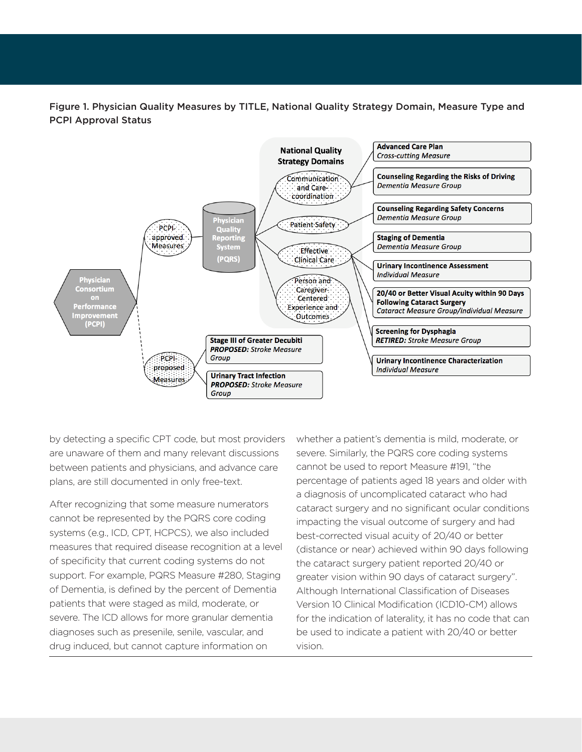Figure 1. Physician Quality Measures by TITLE, National Quality Strategy Domain, Measure Type and PCPI Approval Status



by detecting a specific CPT code, but most providers are unaware of them and many relevant discussions between patients and physicians, and advance care plans, are still documented in only free-text.

After recognizing that some measure numerators cannot be represented by the PQRS core coding systems (e.g., ICD, CPT, HCPCS), we also included measures that required disease recognition at a level of specificity that current coding systems do not support. For example, PQRS Measure #280, Staging of Dementia, is defined by the percent of Dementia patients that were staged as mild, moderate, or severe. The ICD allows for more granular dementia diagnoses such as presenile, senile, vascular, and drug induced, but cannot capture information on

whether a patient's dementia is mild, moderate, or severe. Similarly, the PQRS core coding systems cannot be used to report Measure #191, "the percentage of patients aged 18 years and older with a diagnosis of uncomplicated cataract who had cataract surgery and no significant ocular conditions impacting the visual outcome of surgery and had best-corrected visual acuity of 20/40 or better (distance or near) achieved within 90 days following the cataract surgery patient reported 20/40 or greater vision within 90 days of cataract surgery". Although International Classification of Diseases Version 10 Clinical Modification (ICD10-CM) allows for the indication of laterality, it has no code that can be used to indicate a patient with 20/40 or better vision.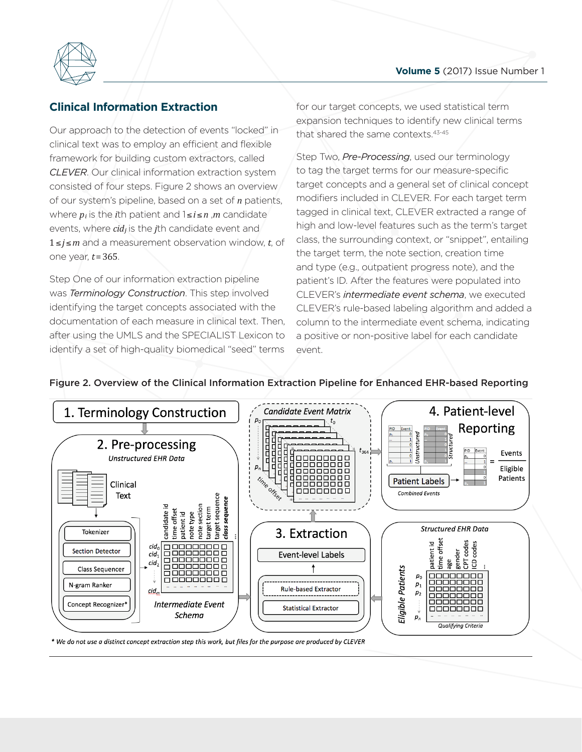

# **Clinical Inform: Clinical Information Extraction**

Qur approach to t Our approach to the detection of events "locked" in of our system's pipeline, based on a set of *n* patients, where  $p_i$  is the *i*th patient and  $1 \le i \le n$  ,*m* candidate *CLEVER.* **Our clinical in<br>consisted of four steps.<br>of our system's pipeline** clinical text was to employ an efficient and flexible framework for building custom extractors, called *CLEVER*. Our clinical information extraction system consisted of four steps. Figure 2 shows an overview events, where *cid<sup>j</sup>* is the *j*th candidate event and 1≤*j*≤*m* and a measurement observation window, *t*, of one year, *t*= 365.

> Step One of our information extraction pipeline was *Terminology Construction*. This step involved identifying the target concepts associated with the documentation of each measure in clinical text. Then, after using the UMLS and the SPECIALIST Lexicon to identify a set of high-quality biomedical "seed" terms

for our target concepts, we used statistical term expansion techniques to identify new clinical terms that shared the same contexts.<sup>43-45</sup>

Step Two, *Pre-Processing*, used our terminology to tag the target terms for our measure-specific target concepts and a general set of clinical concept modifiers included in CLEVER. For each target term tagged in clinical text, CLEVER extracted a range of high and low-level features such as the term's target class, the surrounding context, or "snippet", entailing the target term, the note section, creation time and type (e.g., outpatient progress note), and the patient's ID. After the features were populated into CLEVER's *intermediate event schema*, we executed CLEVER's rule-based labeling algorithm and added a column to the intermediate event schema, indicating a positive or non-positive label for each candidate event.

# Figure 2. Overview of the Clinical Information Extraction Pipeline for Enhanced EHR-based Reporting



\* We do not use a distinct concept extraction step this work, but files for the purpose are produced by CLEVER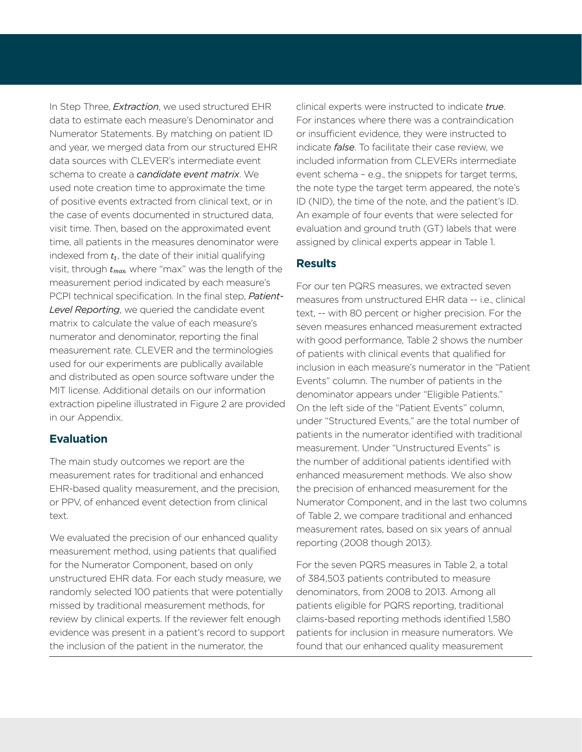In Step Three, *Extraction*, we used structured EHR data to estimate each measure's Denominator and Numerator Statements. By matching on patient ID and year, we merged data from our structured EHR data sources with CLEVER's intermediate event schema to create a *candidate event matrix*. We used note creation time to approximate the time of positive events extracted from clinical text, or in the case of events documented in structured data, visit time. Then, based on the approximated event time, all patients in the measures denominator were indexed from *t₁*, the date of their initial qualifying visit, through *t max*, where "max" was the length of the measurement period indicated by each measure's PCPI technical specification. In the final step, *Patient-Level Reporting*, we queried the candidate event matrix to calculate the value of each measure's numerator and denominator, reporting the final measurement rate. CLEVER and the terminologies used for our experiments are publically available and distributed as open source software under the MIT license. Additional details on our information extraction pipeline illustrated in Figure 2 are provided in our Appendix.

### **Evaluation**

The main study outcomes we report are the measurement rates for traditional and enhanced EHR-based quality measurement, and the precision, or PPV, of enhanced event detection from clinical text.

We evaluated the precision of our enhanced quality measurement method, using patients that qualified for the Numerator Component, based on only unstructured EHR data. For each study measure, we randomly selected 100 patients that were potentially missed by traditional measurement methods, for review by clinical experts. If the reviewer felt enough evidence was present in a patient's record to support the inclusion of the patient in the numerator, the

clinical experts were instructed to indicate *true*. For instances where there was a contraindication or insufficient evidence, they were instructed to indicate *false*. To facilitate their case review, we included information from CLEVERs intermediate event schema – e.g., the snippets for target terms, the note type the target term appeared, the note's ID (NID), the time of the note, and the patient's ID. An example of four events that were selected for evaluation and ground truth (GT) labels that were assigned by clinical experts appear in Table 1.

# **Results**

For our ten PQRS measures, we extracted seven measures from unstructured EHR data -- i.e., clinical text, -- with 80 percent or higher precision. For the seven measures enhanced measurement extracted with good performance, Table 2 shows the number of patients with clinical events that qualified for inclusion in each measure's numerator in the "Patient Events" column. The number of patients in the denominator appears under "Eligible Patients." On the left side of the "Patient Events" column, under "Structured Events," are the total number of patients in the numerator identified with traditional measurement. Under "Unstructured Events" is the number of additional patients identified with enhanced measurement methods. We also show the precision of enhanced measurement for the Numerator Component, and in the last two columns of Table 2, we compare traditional and enhanced measurement rates, based on six years of annual reporting (2008 though 2013).

For the seven PQRS measures in Table 2, a total of 384,503 patients contributed to measure denominators, from 2008 to 2013. Among all patients eligible for PQRS reporting, traditional claims-based reporting methods identified 1,580 patients for inclusion in measure numerators. We found that our enhanced quality measurement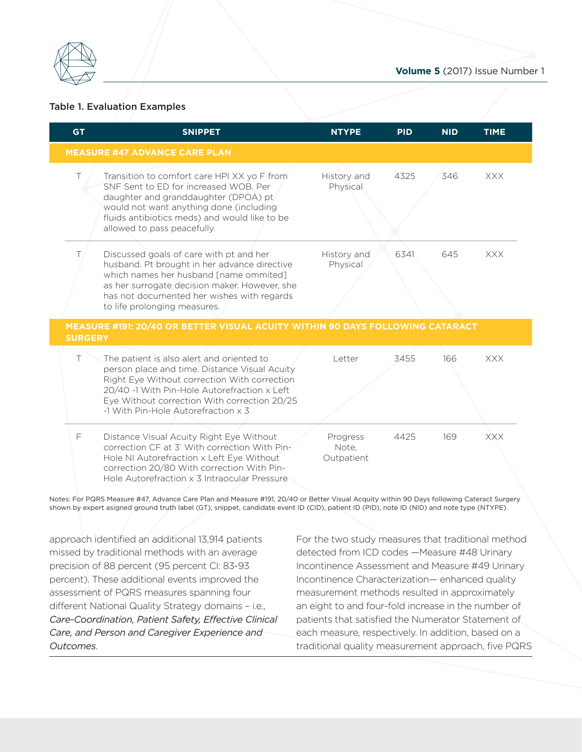

# Table 1. Evaluatio<br>**Edgement** Table 1. Evaluation Examples

| <b>GT</b>      | <b>SNIPPET</b>                                                                                                                                                                                                                                                                          | <b>NTYPE</b>                                        | <b>PID</b> | <b>NID</b> | <b>TIME</b> |
|----------------|-----------------------------------------------------------------------------------------------------------------------------------------------------------------------------------------------------------------------------------------------------------------------------------------|-----------------------------------------------------|------------|------------|-------------|
|                | <b>MEASURE #47 ADVANCE CARE PLAN</b>                                                                                                                                                                                                                                                    |                                                     |            |            |             |
| Τ              | Transition to comfort care HPI XX yo F from<br>SNF Sent to ED for increased WOB. Per<br>daughter and granddaughter (DPOA) pt<br>would not want anything done (including<br>fluids antibiotics meds) and would like to be<br>allowed to pass peacefully.                                 | History and<br>Physical                             | 4325       | 346        | <b>XXX</b>  |
| T.             | Discussed goals of care with pt and her<br>husband. Pt brought in her advance directive<br>which names her husband [name ommited]<br>as her surrogate decision maker. However, she<br>has not documented her wishes with regards<br>to life prolonging measures.                        | History and<br>Physical                             | 6341       | 645        | <b>XXX</b>  |
| <b>SURGERY</b> | MEASURE #191: 20/40 OR BETTER VISUAL ACUITY WITHIN 90 DAYS FOLLOWING CATARACT                                                                                                                                                                                                           |                                                     |            |            |             |
| $\top$         | The patient is also alert and oriented to                                                                                                                                                                                                                                               | Letter                                              | 3455       | 166        | <b>XXX</b>  |
|                | person place and time. Distance Visual Acuity<br>Right Eye Without correction With correction<br>20/40 -1 With Pin-Hole Autorefraction x Left<br>Eye Without correction With correction 20/25<br>-1 With Pin-Hole Autorefraction x 3                                                    |                                                     |            |            |             |
| F              | Distance Visual Acuity Right Eye Without<br>correction CF at 3' With correction With Pin-<br>Hole NI Autorefraction x Left Eye Without<br>correction 20/80 With correction With Pin-<br>Hole Autorefraction x 3 Intraocular Pressure                                                    | Progress<br>Note,<br>Outpatient                     | 4425       | 169        | <b>XXX</b>  |
|                | Notes: For PQRS Measure #47, Advance Care Plan and Measure #191, 20/40 or Better Visual Acquity within 90 Days following Cateract Surgery<br>shown by expert asigned ground truth label (GT), snippet, candidate event ID (CID), patient ID (PID), note ID (NID) and note type (NTYPE). |                                                     |            |            |             |
|                |                                                                                                                                                                                                                                                                                         |                                                     |            |            |             |
|                | approach identified an additional 13,914 patients                                                                                                                                                                                                                                       | For the two study measures that traditional method  |            |            |             |
|                | missed by traditional methods with an average                                                                                                                                                                                                                                           | detected from ICD codes - Measure #48 Urinary       |            |            |             |
|                | precision of 88 percent (95 percent Cl: 83-93                                                                                                                                                                                                                                           | Incontinence Assessment and Measure #49 Urinary     |            |            |             |
|                | percent). These additional events improved the                                                                                                                                                                                                                                          | Incontinence Characterization-enhanced quality      |            |            |             |
|                | assessment of PQRS measures spanning four                                                                                                                                                                                                                                               | measurement methods resulted in approximately       |            |            |             |
|                | different National Quality Strategy domains - i.e.,                                                                                                                                                                                                                                     | an eight to and four-fold increase in the number of |            |            |             |
|                | Care-Coordination, Patient Safety, Effective Clinical                                                                                                                                                                                                                                   | patients that satisfied the Numerator Statement of  |            |            |             |
|                | Care, and Person and Caregiver Experience and                                                                                                                                                                                                                                           | each measure, respectively. In addition, based on a |            |            |             |

*Outcomes*.

traditional quality measurement approach, five PQRS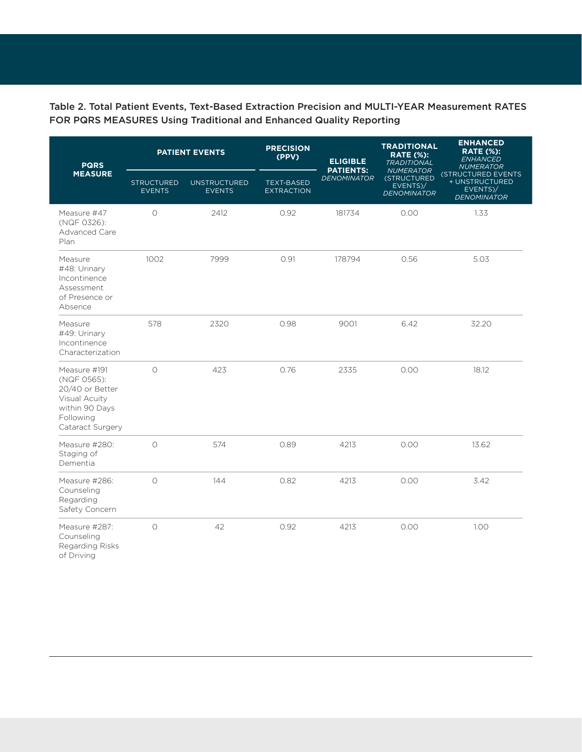# Table 2. Total Patient Events, Text-Based Extraction Precision and MULTI-YEAR Measurement RATES FOR PQRS MEASURES Using Traditional and Enhanced Quality Reporting

| <b>PQRS</b>                                                                                                        | <b>PATIENT EVENTS</b>              |                                      | <b>PRECISION</b><br>(PPV)              | <b>ELIGIBLE</b><br><b>PATIENTS:</b> | <b>TRADITIONAL</b><br><b>RATE (%):</b><br><b>TRADITIONAL</b>      | <b>ENHANCED</b><br><b>RATE (%):</b><br><b>ENHANCED</b><br><b>NUMERATOR</b>    |  |
|--------------------------------------------------------------------------------------------------------------------|------------------------------------|--------------------------------------|----------------------------------------|-------------------------------------|-------------------------------------------------------------------|-------------------------------------------------------------------------------|--|
| <b>MEASURE</b>                                                                                                     | <b>STRUCTURED</b><br><b>EVENTS</b> | <b>UNSTRUCTURED</b><br><b>EVENTS</b> | <b>TEXT-BASED</b><br><b>EXTRACTION</b> | <b>DENOMINATOR</b>                  | <b>NUMERATOR</b><br>(STRUCTURED<br>EVENTS)/<br><b>DENOMINATOR</b> | <b>(STRUCTURED EVENTS</b><br>+ UNSTRUCTURED<br>EVENTS)/<br><b>DENOMINATOR</b> |  |
| Measure #47<br>(NQF 0326):<br>Advanced Care<br>Plan                                                                | $\circ$                            | 2412                                 | 0.92                                   | 181734                              | 0.00                                                              | 1.33                                                                          |  |
| Measure<br>#48: Urinary<br>Incontinence<br>Assessment<br>of Presence or<br>Absence                                 | 1002                               | 7999                                 | 0.91                                   | 178794                              | 0.56                                                              | 5.03                                                                          |  |
| Measure<br>#49: Urinary<br>Incontinence<br>Characterization                                                        | 578                                | 2320                                 | 0.98                                   | 9001                                | 6.42                                                              | 32.20                                                                         |  |
| Measure #191<br>(NQF 0565):<br>20/40 or Better<br>Visual Acuity<br>within 90 Days<br>Following<br>Cataract Surgery | $\circ$                            | 423                                  | 0.76                                   | 2335                                | 0.00                                                              | 18.12                                                                         |  |
| Measure #280:<br>Staging of<br>Dementia                                                                            | $\circ$                            | 574                                  | 0.89                                   | 4213                                | 0.00                                                              | 13.62                                                                         |  |
| Measure #286:<br>Counseling<br>Regarding<br>Safety Concern                                                         | $\circ$                            | 144                                  | 0.82                                   | 4213                                | 0.00                                                              | 3.42                                                                          |  |
| Measure #287:<br>Counseling<br>Regarding Risks<br>of Driving                                                       | $\circ$                            | 42                                   | 0.92                                   | 4213                                | 0.00                                                              | 1.00                                                                          |  |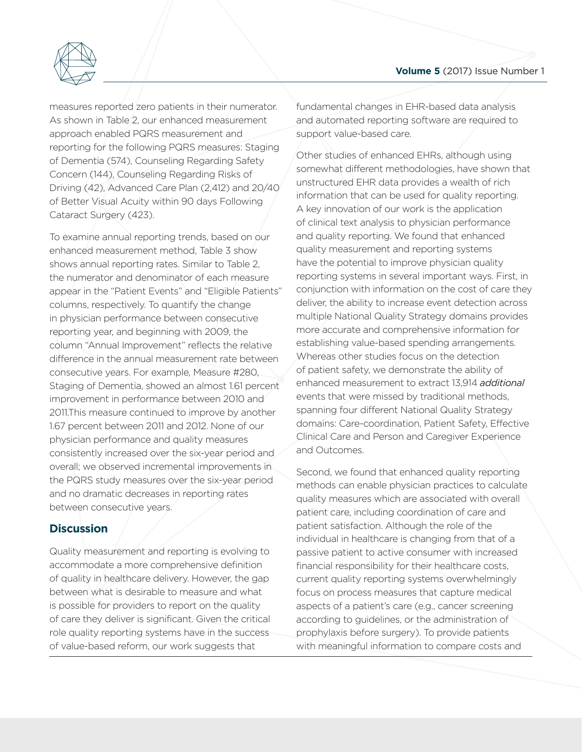

Generating Evidence & Methods approach enabled PQRS measurement and measures reportec<br>As shown in Table of Better Visual Acuity within 90 days Following Cataract Surgery (423). Concern (144), Counsel<br>Driving (42), Advanced<br>of Better Visual Acuity measures reported zero patients in their numerator. As shown in Table 2, our enhanced measurement reporting for the following PQRS measures: Staging of Dementia (574), Counseling Regarding Safety Concern (144), Counseling Regarding Risks of Driving (42), Advanced Care Plan (2,412) and 20/40

> To examine annual reporting trends, based on our enhanced measurement method, Table 3 show shows annual reporting rates. Similar to Table 2, the numerator and denominator of each measure appear in the "Patient Events" and "Eligible Patients" columns, respectively. To quantify the change in physician performance between consecutive reporting year, and beginning with 2009, the column "Annual Improvement" reflects the relative difference in the annual measurement rate between consecutive years. For example, Measure #280, Staging of Dementia, showed an almost 1.61 percent improvement in performance between 2010 and 2011.This measure continued to improve by another 1.67 percent between 2011 and 2012. None of our physician performance and quality measures consistently increased over the six-year period and overall; we observed incremental improvements in the PQRS study measures over the six-year period and no dramatic decreases in reporting rates between consecutive years.

# **Discussion**

Quality measurement and reporting is evolving to accommodate a more comprehensive definition of quality in healthcare delivery. However, the gap between what is desirable to measure and what is possible for providers to report on the quality of care they deliver is significant. Given the critical role quality reporting systems have in the success of value-based reform, our work suggests that

fundamental changes in EHR-based data analysis and automated reporting software are required to support value-based care.

Other studies of enhanced EHRs, although using somewhat different methodologies, have shown that unstructured EHR data provides a wealth of rich information that can be used for quality reporting. A key innovation of our work is the application of clinical text analysis to physician performance and quality reporting. We found that enhanced quality measurement and reporting systems have the potential to improve physician quality reporting systems in several important ways. First, in conjunction with information on the cost of care they deliver, the ability to increase event detection across multiple National Quality Strategy domains provides more accurate and comprehensive information for establishing value-based spending arrangements. Whereas other studies focus on the detection of patient safety, we demonstrate the ability of enhanced measurement to extract 13,914 *additional* events that were missed by traditional methods, spanning four different National Quality Strategy domains: Care-coordination, Patient Safety, Effective Clinical Care and Person and Caregiver Experience and Outcomes.

Second, we found that enhanced quality reporting methods can enable physician practices to calculate quality measures which are associated with overall patient care, including coordination of care and patient satisfaction. Although the role of the individual in healthcare is changing from that of a passive patient to active consumer with increased financial responsibility for their healthcare costs, current quality reporting systems overwhelmingly focus on process measures that capture medical aspects of a patient's care (e.g., cancer screening according to guidelines, or the administration of prophylaxis before surgery). To provide patients with meaningful information to compare costs and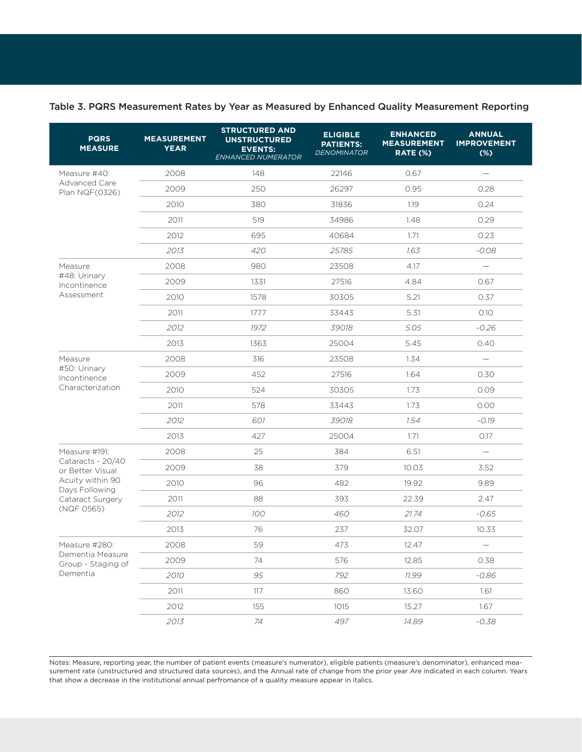| <b>PQRS</b><br><b>MEASURE</b>          | <b>MEASUREMENT</b><br><b>YEAR</b> | <b>STRUCTURED AND</b><br><b>UNSTRUCTURED</b><br><b>EVENTS:</b><br>ENHANCED NUMERATOR | <b>ELIGIBLE</b><br><b>PATIENTS:</b><br><b>DENOMINATOR</b> | <b>ENHANCED</b><br><b>MEASUREMENT</b><br>RATE (%) | <b>ANNUAL</b><br><b>IMPROVEMENT</b><br>$(\%)$ |
|----------------------------------------|-----------------------------------|--------------------------------------------------------------------------------------|-----------------------------------------------------------|---------------------------------------------------|-----------------------------------------------|
| Measure #40:                           | 2008                              | 148                                                                                  | 22146                                                     | 0.67                                              |                                               |
| Advanced Care<br>Plan NQF(0326)        | 2009                              | 250                                                                                  | 26297                                                     | 0.95                                              | 0.28                                          |
|                                        | 2010                              | 380                                                                                  | 31836                                                     | 1.19                                              | 0.24                                          |
|                                        | 2011                              | 519                                                                                  | 34986                                                     | 1.48                                              | 0.29                                          |
|                                        | 2012                              | 695                                                                                  | 40684                                                     | 1.71                                              | 0.23                                          |
|                                        | 2013                              | 420                                                                                  | 25785                                                     | 1.63                                              | $-0.08$                                       |
| Measure                                | 2008                              | 980                                                                                  | 23508                                                     | 4.17                                              | $\overline{\phantom{m}}$                      |
| #48: Urinary<br>Incontinence           | 2009                              | 1331                                                                                 | 27516                                                     | 4.84                                              | 0.67                                          |
| Assessment                             | 2010                              | 1578                                                                                 | 30305                                                     | 5.21                                              | 0.37                                          |
|                                        | 2011                              | 1777                                                                                 | 33443                                                     | 5.31<br>O.1O                                      |                                               |
|                                        | 2012                              | 1972                                                                                 | 39018                                                     | 5.05                                              | $-0.26$                                       |
|                                        | 2013                              | 1363                                                                                 | 25004                                                     | 5.45                                              | 0.40                                          |
| Measure                                | 2008                              | 316                                                                                  | 23508                                                     | 1.34                                              |                                               |
| #50: Urinary<br>Incontinence           | 2009                              | 452                                                                                  | 27516                                                     | 1.64                                              | 0.30                                          |
| Characterization                       | 2010                              | 524                                                                                  | 30305                                                     | 1.73                                              | 0.09                                          |
|                                        | 2011                              | 578                                                                                  | 33443                                                     | 1.73                                              | 0.00                                          |
|                                        | 2012                              | 601                                                                                  | 39018                                                     | 1.54                                              | $-0.19$                                       |
|                                        | 2013                              | 427                                                                                  | 25004                                                     | 1.71                                              | O.17                                          |
| Measure #191:                          | 2008                              | 25                                                                                   | 384                                                       | 6.51                                              | $\overline{\phantom{0}}$                      |
| Cataracts - 20/40<br>or Better Visual  | 2009                              | 38                                                                                   | 379                                                       | 10.03                                             | 3.52                                          |
| Acuity within 90<br>Days Following     | 2010                              | 96                                                                                   | 482                                                       | 19.92                                             | 9.89                                          |
| Cataract Surgery                       | 2011                              | 88                                                                                   | 393                                                       | 22.39                                             | 2.47                                          |
| (NQF 0565)                             | 2012                              | 100                                                                                  | 460                                                       | 21.74                                             | $-0.65$                                       |
|                                        | 2013                              | 76                                                                                   | 237                                                       | 32.07                                             | 10.33                                         |
| Measure #280:                          | 2008                              | 59                                                                                   | 473                                                       | 12.47                                             |                                               |
| Dementia Measure<br>Group - Staging of | 2009                              | 74                                                                                   | 576                                                       | 12.85                                             | 0.38                                          |
| Dementia                               | 2010                              | 95                                                                                   | 792                                                       | 11.99                                             | $-0.86$                                       |
|                                        | 2011                              | 117                                                                                  | 860                                                       | 13.60                                             | 1.61                                          |
|                                        | 2012                              | 155                                                                                  | 1015                                                      | 15.27                                             | 1.67                                          |
|                                        | 2013                              | 74                                                                                   | 497                                                       | 14.89                                             | $-0.38$                                       |

#### Table 3. PQRS Measurement Rates by Year as Measured by Enhanced Quality Measurement Reporting

Notes: Measure, reporting year, the number of patient events (measure's numerator), eligible patients (measure's denominator), enhanced measurement rate (unstructured and structured data sources), and the Annual rate of change from the prior year Are indicated in each column. Years that show a decrease in the institutional annual perfromance of a quality measure appear in italics.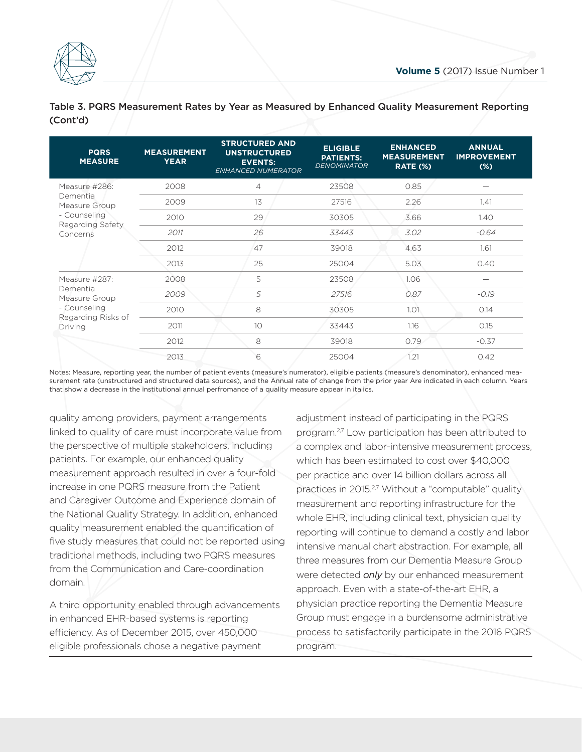

| <b>PQRS</b><br><b>MEASURE</b> | <b>MEASUREMENT</b><br><b>YEAR</b> | <b>STRUCTURED AND</b><br><b>UNSTRUCTURED</b><br><b>EVENTS:</b><br><b>ENHANCED NUMERATOR</b> | <b>ELIGIBLE</b><br><b>PATIENTS:</b><br><b>DENOMINATOR</b> | <b>ENHANCED</b><br><b>MEASUREMENT</b><br><b>RATE (%)</b> | <b>ANNUAL</b><br><b>IMPROVEMENT</b><br>$(\%)$ |
|-------------------------------|-----------------------------------|---------------------------------------------------------------------------------------------|-----------------------------------------------------------|----------------------------------------------------------|-----------------------------------------------|
| Measure #286:                 | 2008                              | $\overline{4}$                                                                              | 23508                                                     | 0.85                                                     |                                               |
| Dementia<br>Measure Group     | 2009                              | 13                                                                                          | 27516                                                     | 2.26                                                     | 1.41                                          |
| - Counseling                  | 2010                              | 29                                                                                          | 30305                                                     | 3.66                                                     | 1.40                                          |
| Regarding Safety<br>Concerns  | 2011                              | 26                                                                                          | 33443                                                     | 3.02                                                     | $-0.64$                                       |
|                               | 2012                              | 47                                                                                          | 39018                                                     | 4.63                                                     | 1.61                                          |
|                               | 2013                              | 25                                                                                          | 25004                                                     | 5.03                                                     | 0.40                                          |
| Measure #287:                 | 2008                              | 5                                                                                           | 23508                                                     | 1.06                                                     |                                               |
| Dementia<br>Measure Group     | 2009                              | 5                                                                                           | 27516                                                     | 0.87                                                     | $-0.19$                                       |
| - Counseling                  | 2010                              | 8                                                                                           | 30305                                                     | 1.01                                                     | 0.14                                          |
| Regarding Risks of<br>Driving | 2011                              | 10                                                                                          | 33443                                                     | 1.16                                                     | 0.15                                          |
|                               | 2012                              | 8                                                                                           | 39018                                                     | 0.79                                                     | $-0.37$                                       |
|                               | 2013                              | 6                                                                                           | 25004                                                     | 1.21                                                     | 0.42                                          |

Table 3. PQRS Me<br>(Cont'd) Table 3. PQRS Measurement Rates by Year as Measured by Enhanced Quality Measurement Reporting (Cont'd)

Notes: Measure, reporting year, the number of patient events (measure's numerator), eligible patients (measure's denominator), enhanced measurement rate (unstructured and structured data sources), and the Annual rate of change from the prior year Are indicated in each column. Years that show a decrease in the institutional annual perfromance of a quality measure appear in italics.

quality among providers, payment arrangements linked to quality of care must incorporate value from the perspective of multiple stakeholders, including patients. For example, our enhanced quality measurement approach resulted in over a four-fold increase in one PQRS measure from the Patient and Caregiver Outcome and Experience domain of the National Quality Strategy. In addition, enhanced quality measurement enabled the quantification of five study measures that could not be reported using traditional methods, including two PQRS measures from the Communication and Care-coordination domain.

A third opportunity enabled through advancements in enhanced EHR-based systems is reporting efficiency. As of December 2015, over 450,000 eligible professionals chose a negative payment

adjustment instead of participating in the PQRS program.<sup>2,7</sup> Low participation has been attributed to a complex and labor-intensive measurement process, which has been estimated to cost over \$40,000 per practice and over 14 billion dollars across all practices in 2015.<sup>2,7</sup> Without a "computable" quality measurement and reporting infrastructure for the whole EHR, including clinical text, physician quality reporting will continue to demand a costly and labor intensive manual chart abstraction. For example, all three measures from our Dementia Measure Group were detected *only* by our enhanced measurement approach. Even with a state-of-the-art EHR, a physician practice reporting the Dementia Measure Group must engage in a burdensome administrative process to satisfactorily participate in the 2016 PQRS program.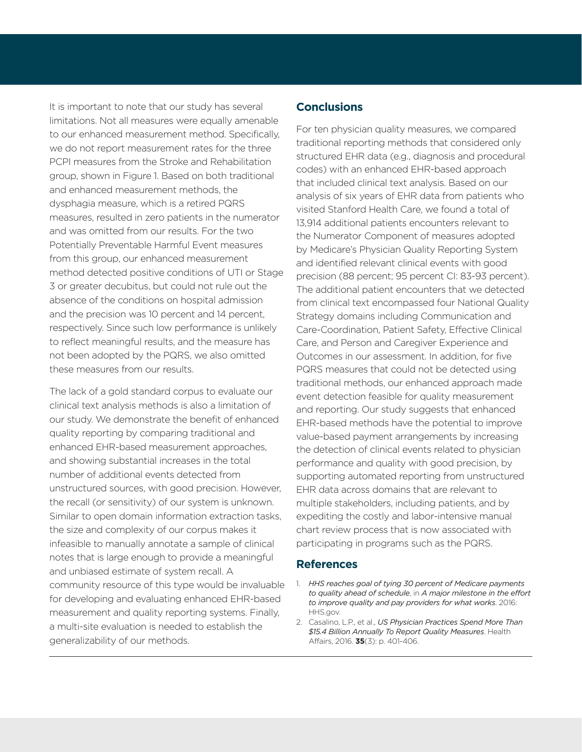It is important to note that our study has several limitations. Not all measures were equally amenable to our enhanced measurement method. Specifically, we do not report measurement rates for the three PCPI measures from the Stroke and Rehabilitation group, shown in Figure 1. Based on both traditional and enhanced measurement methods, the dysphagia measure, which is a retired PQRS measures, resulted in zero patients in the numerator and was omitted from our results. For the two Potentially Preventable Harmful Event measures from this group, our enhanced measurement method detected positive conditions of UTI or Stage 3 or greater decubitus, but could not rule out the absence of the conditions on hospital admission and the precision was 10 percent and 14 percent, respectively. Since such low performance is unlikely to reflect meaningful results, and the measure has not been adopted by the PQRS, we also omitted these measures from our results.

The lack of a gold standard corpus to evaluate our clinical text analysis methods is also a limitation of our study. We demonstrate the benefit of enhanced quality reporting by comparing traditional and enhanced EHR-based measurement approaches, and showing substantial increases in the total number of additional events detected from unstructured sources, with good precision. However, the recall (or sensitivity) of our system is unknown. Similar to open domain information extraction tasks, the size and complexity of our corpus makes it infeasible to manually annotate a sample of clinical notes that is large enough to provide a meaningful and unbiased estimate of system recall. A community resource of this type would be invaluable for developing and evaluating enhanced EHR-based measurement and quality reporting systems. Finally, a multi-site evaluation is needed to establish the generalizability of our methods.

# **Conclusions**

For ten physician quality measures, we compared traditional reporting methods that considered only structured EHR data (e.g., diagnosis and procedural codes) with an enhanced EHR-based approach that included clinical text analysis. Based on our analysis of six years of EHR data from patients who visited Stanford Health Care, we found a total of 13,914 additional patients encounters relevant to the Numerator Component of measures adopted by Medicare's Physician Quality Reporting System and identified relevant clinical events with good precision (88 percent; 95 percent CI: 83-93 percent). The additional patient encounters that we detected from clinical text encompassed four National Quality Strategy domains including Communication and Care-Coordination, Patient Safety, Effective Clinical Care, and Person and Caregiver Experience and Outcomes in our assessment. In addition, for five PQRS measures that could not be detected using traditional methods, our enhanced approach made event detection feasible for quality measurement and reporting. Our study suggests that enhanced EHR-based methods have the potential to improve value-based payment arrangements by increasing the detection of clinical events related to physician performance and quality with good precision, by supporting automated reporting from unstructured EHR data across domains that are relevant to multiple stakeholders, including patients, and by expediting the costly and labor-intensive manual chart review process that is now associated with participating in programs such as the PQRS.

# **References**

- 1. *HHS reaches goal of tying 30 percent of Medicare payments to quality ahead of schedule*, in *A major milestone in the effort to improve quality and pay providers for what works*. 2016: HHS.gov.
- 2. Casalino, L.P., et al., *US Physician Practices Spend More Than \$15.4 Billion Annually To Report Quality Measures*. Health Affairs, 2016. **35**(3): p. 401-406.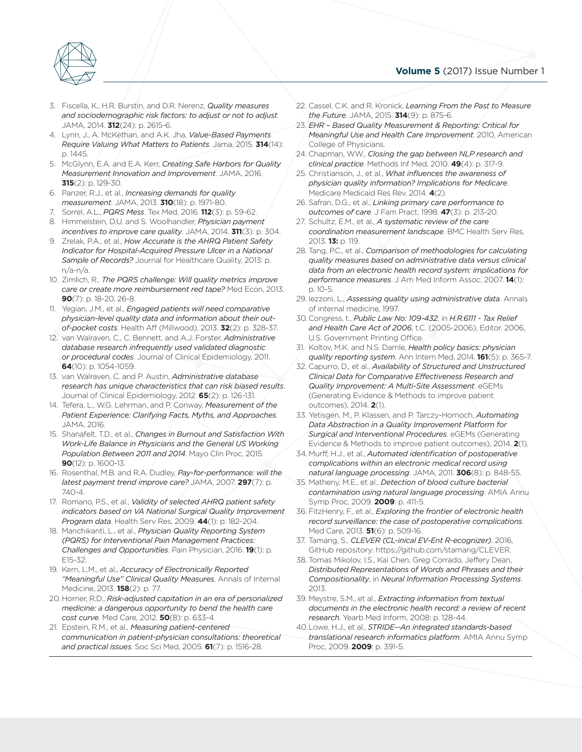

- JAMA, 2014. **312**(24): p. 2615-6. **3.** Fiscella, K., H.R. Burn<br> **and sociodemograp**<br> **10044.2014.712**644 3. Fiscella, K., H.R. Burstin, and D.R. Nerenz, *Quality measures and sociodemographic risk factors: to adjust or not to adjust*.
- 4. Lynn, J., A. McKethan, and A.K. Jha, *Value-Based Payments Require Valuing What Matters to Patients*. Jama, 2015. **314**(14): p. 1445.
	- **ending the Measurement innovation and Improvement**. JAMA<br> **315**(2): p. 129-30.<br>
	6. Panzer, R.J., et al., *Increasing demands for quality*<br> **measurement** JAMA 2013 **310**(18): p. 1971-80 5. McGlynn, E.A. and E.A. Kerr, *Creating Safe Harbors for Quality Measurement Innovation and Improvement*. JAMA, 2016. **315**(2): p. 129-30.
	- Generating Evidence & Methods *measurement*. JAMA, 2013. **310**(18): p. 1971-80.
	- 7. Sorrel, A.L., *PQRS Mess*. Tex Med, 2016. **112**(3): p. 59-62.
	- 8. Himmelstein, D.U. and S. Woolhandler, *Physician payment incentives to improve care quality*. JAMA, 2014. **311**(3): p. 304.
	- 9. Zrelak, P.A., et al., *How Accurate is the AHRQ Patient Safety Indicator for Hospital-Acquired Pressure Ulcer in a National Sample of Records?* Journal for Healthcare Quality, 2013: p. n/a-n/a.
	- 10. Zimlich, R., *The PQRS challenge: Will quality metrics improve care or create more reimbursement red tape?* Med Econ, 2013. **90**(7): p. 18-20, 26-8.
	- 11. Yegian, J.M., et al., *Engaged patients will need comparative physician-level quality data and information about their outof-pocket costs*. Health Aff (Millwood), 2013. **32**(2): p. 328-37.
	- 12. van Walraven, C., C. Bennett, and A.J. Forster, *Administrative database research infrequently used validated diagnostic or procedural codes*. Journal of Clinical Epidemiology, 2011. **64**(10): p. 1054-1059.
	- 13. van Walraven, C. and P. Austin, *Administrative database research has unique characteristics that can risk biased results*. Journal of Clinical Epidemiology, 2012. **65**(2): p. 126-131.
	- 14. Tefera, L., W.G. Lehrman, and P. Conway, *Measurement of the Patient Experience: Clarifying Facts, Myths, and Approaches*. JAMA, 2016.
	- 15. Shanafelt, T.D., et al., *Changes in Burnout and Satisfaction With Work-Life Balance in Physicians and the General US Working Population Between 2011 and 2014*. Mayo Clin Proc, 2015. **90**(12): p. 1600-13.
	- 16. Rosenthal, M.B. and R.A. Dudley, *Pay-for-performance: will the latest payment trend improve care?* JAMA, 2007. **297**(7): p. 740-4.
	- 17. Romano, P.S., et al., *Validity of selected AHRQ patient safety indicators based on VA National Surgical Quality Improvement Program data*. Health Serv Res, 2009. **44**(1): p. 182-204.
	- 18. Manchikanti, L., et al., *Physician Quality Reporting System (PQRS) for Interventional Pain Management Practices: Challenges and Opportunities*. Pain Physician, 2016. **19**(1): p. E15-32.
	- 19. Kern, L.M., et al., *Accuracy of Electronically Reported "Meaningful Use" Clinical Quality Measures*. Annals of Internal Medicine, 2013. **158**(2): p. 77.
	- 20. Horner, R.D., *Risk-adjusted capitation in an era of personalized medicine: a dangerous opportunity to bend the health care cost curve*. Med Care, 2012. **50**(8): p. 633-4.
	- 21. Epstein, R.M., et al., *Measuring patient-centered communication in patient-physician consultations: theoretical and practical issues*. Soc Sci Med, 2005. **61**(7): p. 1516-28.
- 22. Cassel, C.K. and R. Kronick, *Learning From the Past to Measure the Future*. JAMA, 2015. **314**(9): p. 875-6.
- 23. *EHR Based Quality Measurement & Reporting: Critical for Meaningful Use and Health Care Improvement*. 2010, American College of Physicians.
- 24. Chapman, W.W., *Closing the gap between NLP research and clinical practice*. Methods Inf Med, 2010. **49**(4): p. 317-9.
- 25. Christianson, J., et al., *What influences the awareness of physician quality information? Implications for Medicare*. Medicare Medicaid Res Rev, 2014. **4**(2).
- 26. Safran, D.G., et al., *Linking primary care performance to outcomes of care*. J Fam Pract, 1998. **47**(3): p. 213-20.
- 27. Schultz, E.M., et al., *A systematic review of the care coordination measurement landscape*. BMC Health Serv Res, 2013. **13:** p. 119.
- 28. Tang, P.C., et al., *Comparison of methodologies for calculating quality measures based on administrative data versus clinical data from an electronic health record system: implications for performance measures*. J Am Med Inform Assoc, 2007. **14**(1): p. 10-5.
- 29. Iezzoni, L., *Assessing quality using administrative data*. Annals of internal medicine, 1997.
- 30.Congress, t., *Public Law No: 109-432*, in *H.R.6111 Tax Relief and Health Care Act of 2006*, t.C. (2005-2006), Editor. 2006, U.S. Government Printing Office.
- 31. Koltov, M.K. and N.S. Damle, *Health policy basics: physician quality reporting system*. Ann Intern Med, 2014. **161**(5): p. 365-7.
- 32. Capurro, D., et al., *Availability of Structured and Unstructured Clinical Data for Comparative Effectiveness Research and Quality Improvement: A Multi-Site Assessment*. eGEMs (Generating Evidence & Methods to improve patient outcomes), 2014. **2**(1).
- 33. Yetisgen, M., P. Klassen, and P. Tarczy-Hornoch, *Automating Data Abstraction in a Quality Improvement Platform for Surgical and Interventional Procedures*. eGEMs (Generating Evidence & Methods to improve patient outcomes), 2014. **2**(1).
- 34. Murff, H.J., et al., *Automated identification of postoperative complications within an electronic medical record using natural language processing*. JAMA, 2011. **306**(8): p. 848-55.
- 35. Matheny, M.E., et al., *Detection of blood culture bacterial contamination using natural language processing*. AMIA Annu Symp Proc, 2009. **2009**: p. 411-5.
- 36. FitzHenry, F., et al., *Exploring the frontier of electronic health record surveillance: the case of postoperative complications*. Med Care, 2013. **51**(6): p. 509-16.
- 37. Tamang, S., *CLEVER (CL-inical EV-Ent R-ecognizer)*. 2016, GitHub repository: https://github.com/stamang/CLEVER.
- 38. Tomas Mikolov, I.S., Kai Chen, Greg Corrado, Jeffery Dean, *Distributed Representations of Words and Phrases and their Compositionality*, in *Neural Information Processing Systems*. 2013.
- 39. Meystre, S.M., et al., *Extracting information from textual documents in the electronic health record: a review of recent research*. Yearb Med Inform, 2008: p. 128-44.
- 40.Lowe, H.J., et al., *STRIDE--An integrated standards-based translational research informatics platform*. AMIA Annu Symp Proc, 2009. **2009**: p. 391-5.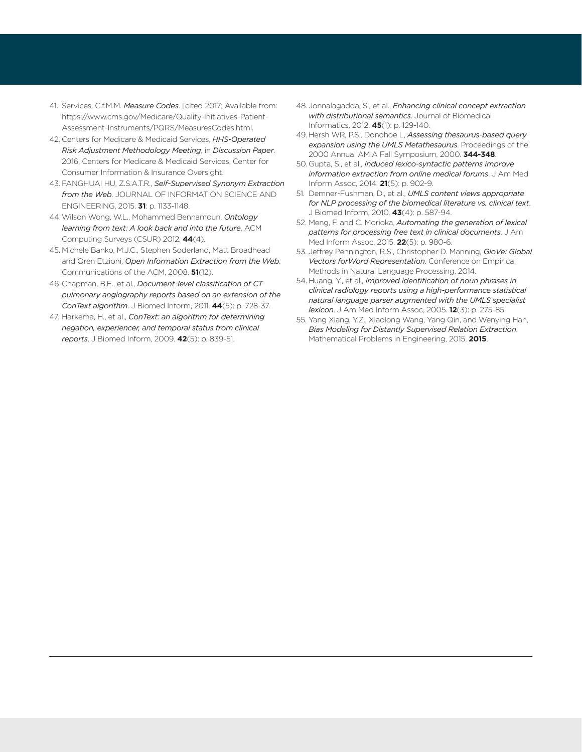- 41. Services, C.f.M.M. *Measure Codes*. [cited 2017; Available from: https://www.cms.gov/Medicare/Quality-Initiatives-Patient-Assessment-Instruments/PQRS/MeasuresCodes.html.
- 42. Centers for Medicare & Medicaid Services, *HHS-Operated Risk Adjustment Methodology Meeting*, in *Discussion Paper*. 2016, Centers for Medicare & Medicaid Services, Center for Consumer Information & Insurance Oversight.
- 43. FANGHUAI HU, Z.S.A.T.R., *Self-Supervised Synonym Extraction from the Web*. JOURNAL OF INFORMATION SCIENCE AND ENGINEERING, 2015. **31**: p. 1133-1148.
- 44.Wilson Wong, W.L., Mohammed Bennamoun, *Ontology learning from text: A look back and into the future*. ACM Computing Surveys (CSUR) 2012. **44**(4).
- 45. Michele Banko, M.J.C., Stephen Soderland, Matt Broadhead and Oren Etzioni, *Open Information Extraction from the Web*. Communications of the ACM, 2008. **51**(12).
- 46.Chapman, B.E., et al., *Document-level classification of CT pulmonary angiography reports based on an extension of the ConText algorithm*. J Biomed Inform, 2011. **44**(5): p. 728-37.
- 47. Harkema, H., et al., *ConText: an algorithm for determining negation, experiencer, and temporal status from clinical reports*. J Biomed Inform, 2009. **42**(5): p. 839-51.
- 48. Jonnalagadda, S., et al., *Enhancing clinical concept extraction with distributional semantics*. Journal of Biomedical Informatics, 2012. **45**(1): p. 129-140.
- 49. Hersh WR, P.S., Donohoe L, *Assessing thesaurus-based query expansion using the UMLS Metathesaurus*. Proceedings of the 2000 Annual AMIA Fall Symposium, 2000. **344-348**.
- 50.Gupta, S., et al., *Induced lexico-syntactic patterns improve information extraction from online medical forums*. J Am Med Inform Assoc, 2014. **21**(5): p. 902-9.
- 51. Demner-Fushman, D., et al., *UMLS content views appropriate for NLP processing of the biomedical literature vs. clinical text*. J Biomed Inform, 2010. **43**(4): p. 587-94.
- 52. Meng, F. and C. Morioka, *Automating the generation of lexical patterns for processing free text in clinical documents*. J Am Med Inform Assoc, 2015. **22**(5): p. 980-6.
- 53. Jeffrey Pennington, R.S., Christopher D. Manning, *GloVe: Global Vectors forWord Representation*. Conference on Empirical Methods in Natural Language Processing, 2014.
- 54. Huang, Y., et al., *Improved identification of noun phrases in clinical radiology reports using a high-performance statistical natural language parser augmented with the UMLS specialist lexicon*. J Am Med Inform Assoc, 2005. **12**(3): p. 275-85.
- 55. Yang Xiang, Y.Z., Xiaolong Wang, Yang Qin, and Wenying Han, *Bias Modeling for Distantly Supervised Relation Extraction*. Mathematical Problems in Engineering, 2015. **2015**.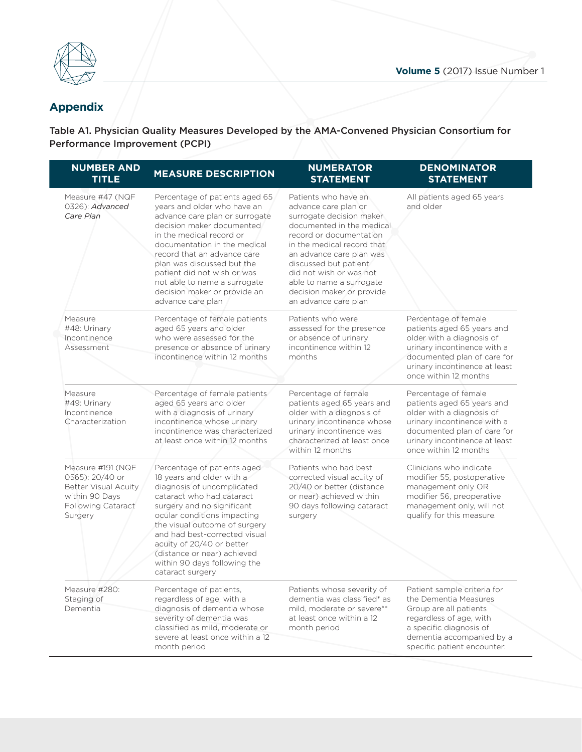

# Appendix **Appendix**

Table A1 Physici: Table A1. Physician Quality Measures Developed by the AMA-Convened Physician Consortium for Performance Improvement (PCPI)

| <b>NUMBER AND</b><br><b>TITLE</b>                                                                                             | <b>MEASURE DESCRIPTION</b>                                                                                                                                                                                                                                                                                                                                                | <b>NUMERATOR</b><br><b>STATEMENT</b>                                                                                                                                                                                                                                                                                            | <b>DENOMINATOR</b><br><b>STATEMENT</b>                                                                                                                                                                  |
|-------------------------------------------------------------------------------------------------------------------------------|---------------------------------------------------------------------------------------------------------------------------------------------------------------------------------------------------------------------------------------------------------------------------------------------------------------------------------------------------------------------------|---------------------------------------------------------------------------------------------------------------------------------------------------------------------------------------------------------------------------------------------------------------------------------------------------------------------------------|---------------------------------------------------------------------------------------------------------------------------------------------------------------------------------------------------------|
| Measure #47 (NQF<br>0326): Advanced<br>Care Plan                                                                              | Percentage of patients aged 65<br>years and older who have an<br>advance care plan or surrogate<br>decision maker documented<br>in the medical record or<br>documentation in the medical<br>record that an advance care<br>plan was discussed but the<br>patient did not wish or was<br>not able to name a surrogate<br>decision maker or provide an<br>advance care plan | Patients who have an<br>advance care plan or<br>surrogate decision maker<br>documented in the medical<br>record or documentation<br>in the medical record that<br>an advance care plan was<br>discussed but patient<br>did not wish or was not<br>able to name a surrogate<br>decision maker or provide<br>an advance care plan | All patients aged 65 years<br>and older                                                                                                                                                                 |
| Measure<br>#48: Urinary<br>Incontinence<br>Assessment                                                                         | Percentage of female patients<br>aged 65 years and older<br>who were assessed for the<br>presence or absence of urinary<br>incontinence within 12 months                                                                                                                                                                                                                  | Patients who were<br>assessed for the presence<br>or absence of urinary<br>incontinence within 12<br>months                                                                                                                                                                                                                     | Percentage of female<br>patients aged 65 years and<br>older with a diagnosis of<br>urinary incontinence with a<br>documented plan of care for<br>urinary incontinence at least<br>once within 12 months |
| Measure<br>#49: Urinary<br>Incontinence<br>Characterization                                                                   | Percentage of female patients<br>aged 65 years and older<br>with a diagnosis of urinary<br>incontinence whose urinary<br>incontinence was characterized<br>at least once within 12 months                                                                                                                                                                                 | Percentage of female<br>patients aged 65 years and<br>older with a diagnosis of<br>urinary incontinence whose<br>urinary incontinence was<br>characterized at least once<br>within 12 months                                                                                                                                    | Percentage of female<br>patients aged 65 years and<br>older with a diagnosis of<br>urinary incontinence with a<br>documented plan of care for<br>urinary incontinence at least<br>once within 12 months |
| Measure #191 (NQF<br>0565): 20/40 or<br><b>Better Visual Acuity</b><br>within 90 Days<br><b>Following Cataract</b><br>Surgery | Percentage of patients aged<br>18 years and older with a<br>diagnosis of uncomplicated<br>cataract who had cataract<br>surgery and no significant<br>ocular conditions impacting<br>the visual outcome of surgery<br>and had best-corrected visual<br>acuity of 20/40 or better<br>(distance or near) achieved<br>within 90 days following the<br>cataract surgery        | Patients who had best-<br>corrected visual acuity of<br>20/40 or better (distance<br>or near) achieved within<br>90 days following cataract<br>surgery                                                                                                                                                                          | Clinicians who indicate<br>modifier 55, postoperative<br>management only OR<br>modifier 56, preoperative<br>management only, will not<br>qualify for this measure.                                      |
| Measure #280:<br>Staging of<br>Dementia                                                                                       | Percentage of patients,<br>regardless of age, with a<br>diagnosis of dementia whose<br>severity of dementia was<br>classified as mild, moderate or<br>severe at least once within a 12<br>month period                                                                                                                                                                    | Patients whose severity of<br>dementia was classified* as<br>mild, moderate or severe**<br>at least once within a 12<br>month period                                                                                                                                                                                            | Patient sample criteria for<br>the Dementia Measures<br>Group are all patients<br>regardless of age, with<br>a specific diagnosis of<br>dementia accompanied by a<br>specific patient encounter:        |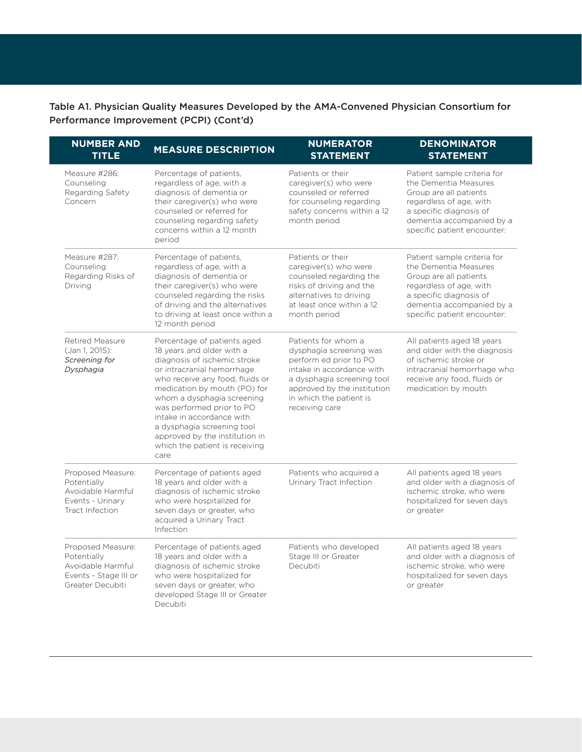Table A1. Physician Quality Measures Developed by the AMA-Convened Physician Consortium for Performance Improvement (PCPI) (Cont'd)

| <b>NUMBER AND</b><br><b>TITLE</b>                                                                  | <b>MEASURE DESCRIPTION</b>                                                                                                                                                                                                                                                                                                                                                                  | <b>NUMERATOR</b><br><b>STATEMENT</b>                                                                                                                                                                            | <b>DENOMINATOR</b><br><b>STATEMENT</b>                                                                                                                                                           |
|----------------------------------------------------------------------------------------------------|---------------------------------------------------------------------------------------------------------------------------------------------------------------------------------------------------------------------------------------------------------------------------------------------------------------------------------------------------------------------------------------------|-----------------------------------------------------------------------------------------------------------------------------------------------------------------------------------------------------------------|--------------------------------------------------------------------------------------------------------------------------------------------------------------------------------------------------|
| Measure #286:<br>Counseling<br>Regarding Safety<br>Concern                                         | Percentage of patients,<br>Patients or their<br>regardless of age, with a<br>caregiver(s) who were<br>diagnosis of dementia or<br>counseled or referred<br>their caregiver(s) who were<br>for counseling regarding<br>counseled or referred for<br>safety concerns within a 12<br>counseling regarding safety<br>month period<br>concerns within a 12 month<br>period                       |                                                                                                                                                                                                                 | Patient sample criteria for<br>the Dementia Measures<br>Group are all patients<br>regardless of age, with<br>a specific diagnosis of<br>dementia accompanied by a<br>specific patient encounter: |
| Measure #287:<br>Counseling<br>Regarding Risks of<br>Driving                                       | Percentage of patients,<br>regardless of age, with a<br>diagnosis of dementia or<br>their caregiver(s) who were<br>counseled regarding the risks<br>of driving and the alternatives<br>to driving at least once within a<br>12 month period                                                                                                                                                 | Patients or their<br>caregiver(s) who were<br>counseled regarding the<br>risks of driving and the<br>alternatives to driving<br>at least once within a 12<br>month period                                       | Patient sample criteria for<br>the Dementia Measures<br>Group are all patients<br>regardless of age, with<br>a specific diagnosis of<br>dementia accompanied by a<br>specific patient encounter: |
| Retired Measure<br>(Jan 1, 2015):<br>Screening for<br>Dysphagia                                    | Percentage of patients aged<br>18 years and older with a<br>diagnosis of ischemic stroke<br>or intracranial hemorrhage<br>who receive any food, fluids or<br>medication by mouth (PO) for<br>whom a dysphagia screening<br>was performed prior to PO<br>intake in accordance with<br>a dysphagia screening tool<br>approved by the institution in<br>which the patient is receiving<br>care | Patients for whom a<br>dysphagia screening was<br>perform ed prior to PO<br>intake in accordance with<br>a dysphagia screening tool<br>approved by the institution<br>in which the patient is<br>receiving care | All patients aged 18 years<br>and older with the diagnosis<br>of ischemic stroke or<br>intracranial hemorrhage who<br>receive any food, fluids or<br>medication by mouth                         |
| Proposed Measure:<br>Potentially<br>Avoidable Harmful<br>Events - Urinary<br>Tract Infection       | Percentage of patients aged<br>18 years and older with a<br>diagnosis of ischemic stroke<br>who were hospitalized for<br>seven days or greater, who<br>acquired a Urinary Tract<br>Infection                                                                                                                                                                                                | Patients who acquired a<br>Urinary Tract Infection                                                                                                                                                              | All patients aged 18 years<br>and older with a diagnosis of<br>ischemic stroke, who were<br>hospitalized for seven days<br>or greater                                                            |
| Proposed Measure:<br>Potentially<br>Avoidable Harmful<br>Events - Stage III or<br>Greater Decubiti | Percentage of patients aged<br>18 years and older with a<br>diagnosis of ischemic stroke<br>who were hospitalized for<br>seven days or greater, who<br>developed Stage III or Greater<br>Decubiti                                                                                                                                                                                           | Patients who developed<br>Stage III or Greater<br>Decubiti                                                                                                                                                      | All patients aged 18 years<br>and older with a diagnosis of<br>ischemic stroke, who were<br>hospitalized for seven days<br>or greater                                                            |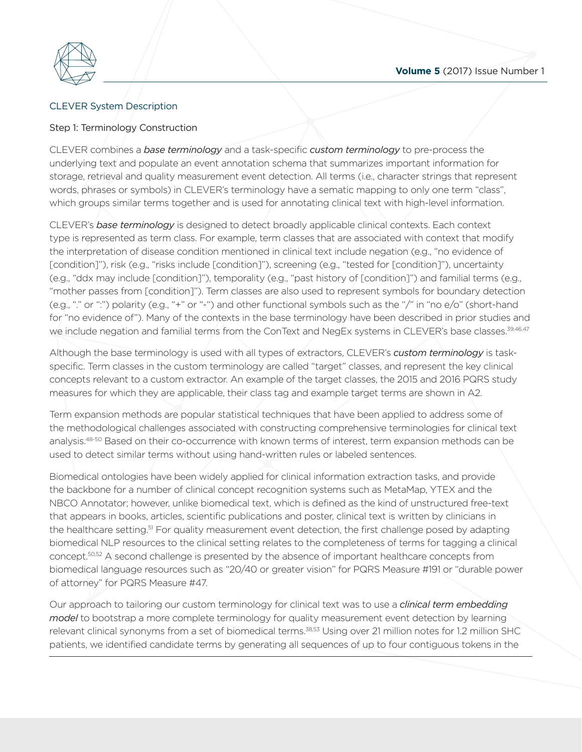

# **CLEVER** System D CLEVER System Description

#### Step 1: Terminology Construction

which groups similar terms together and is used for annotating clinical text with high-level information. storage, retrieval and quality measurement event detection. All terms (i.e., character strings that represent<br>words, phrases or symbols) in CLEVER's terminology have a sematic mapping to only one term "class",<br>which groups CLEVER combines a *base terminology* and a task-specific *custom terminology* to pre-process the underlying text and populate an event annotation schema that summarizes important information for words, phrases or symbols) in CLEVER's terminology have a sematic mapping to only one term "class",

CLEVER's *base terminology* is designed to detect broadly applicable clinical contexts. Each context type is represented as term class. For example, term classes that are associated with context that modify the interpretation of disease condition mentioned in clinical text include negation (e.g., "no evidence of [condition]"), risk (e.g., "risks include [condition]"), screening (e.g., "tested for [condition]"), uncertainty (e.g., "ddx may include [condition]"), temporality (e.g., "past history of [condition]") and familial terms (e.g., "mother passes from [condition]"). Term classes are also used to represent symbols for boundary detection (e.g., "." or ":") polarity (e.g., "+" or "-") and other functional symbols such as the "/" in "no e/o" (short-hand for "no evidence of"). Many of the contexts in the base terminology have been described in prior studies and we include negation and familial terms from the ConText and NegEx systems in CLEVER's base classes.<sup>39,46,47</sup>

Although the base terminology is used with all types of extractors, CLEVER's *custom terminology* is taskspecific. Term classes in the custom terminology are called "target" classes, and represent the key clinical concepts relevant to a custom extractor. An example of the target classes, the 2015 and 2016 PQRS study measures for which they are applicable, their class tag and example target terms are shown in A2.

Term expansion methods are popular statistical techniques that have been applied to address some of the methodological challenges associated with constructing comprehensive terminologies for clinical text analysis.48-50 Based on their co-occurrence with known terms of interest, term expansion methods can be used to detect similar terms without using hand-written rules or labeled sentences.

Biomedical ontologies have been widely applied for clinical information extraction tasks, and provide the backbone for a number of clinical concept recognition systems such as MetaMap, YTEX and the NBCO Annotator; however, unlike biomedical text, which is defined as the kind of unstructured free-text that appears in books, articles, scientific publications and poster, clinical text is written by clinicians in the healthcare setting.<sup>51</sup> For quality measurement event detection, the first challenge posed by adapting biomedical NLP resources to the clinical setting relates to the completeness of terms for tagging a clinical concept.50,52 A second challenge is presented by the absence of important healthcare concepts from biomedical language resources such as "20/40 or greater vision" for PQRS Measure #191 or "durable power of attorney" for PQRS Measure #47.

Our approach to tailoring our custom terminology for clinical text was to use a *clinical term embedding model* to bootstrap a more complete terminology for quality measurement event detection by learning relevant clinical synonyms from a set of biomedical terms.<sup>38,53</sup> Using over 21 million notes for 1.2 million SHC patients, we identified candidate terms by generating all sequences of up to four contiguous tokens in the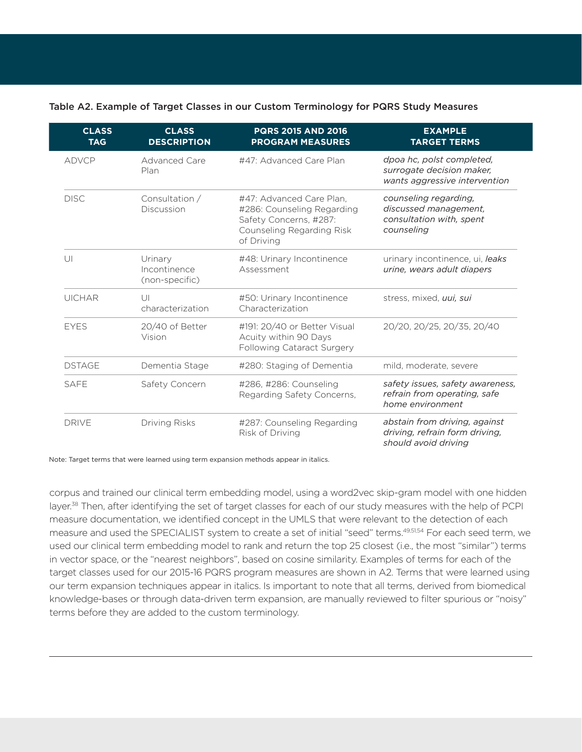#### Table A2. Example of Target Classes in our Custom Terminology for PQRS Study Measures

| <b>CLASS</b><br><b>TAG</b> | <b>CLASS</b><br><b>DESCRIPTION</b>        | <b>PQRS 2015 AND 2016</b><br><b>PROGRAM MEASURES</b>                                                                        | <b>EXAMPLE</b><br><b>TARGET TERMS</b>                                                    |
|----------------------------|-------------------------------------------|-----------------------------------------------------------------------------------------------------------------------------|------------------------------------------------------------------------------------------|
| <b>ADVCP</b>               | Advanced Care<br>Plan                     | #47: Advanced Care Plan                                                                                                     | dpoa hc, polst completed,<br>surrogate decision maker,<br>wants aggressive intervention  |
| <b>DISC</b>                | Consultation /<br>Discussion              | #47: Advanced Care Plan.<br>#286: Counseling Regarding<br>Safety Concerns, #287:<br>Counseling Regarding Risk<br>of Driving | counseling regarding,<br>discussed management,<br>consultation with, spent<br>counseling |
| U                          | Urinary<br>Incontinence<br>(non-specific) | #48: Urinary Incontinence<br>Assessment                                                                                     | urinary incontinence, ui, leaks<br>urine, wears adult diapers                            |
| <b>UICHAR</b>              | $\cup$<br>characterization                | #50: Urinary Incontinence<br>Characterization                                                                               | stress, mixed, uui, sui                                                                  |
| <b>EYES</b>                | 20/40 of Better<br>Vision                 | #191: 20/40 or Better Visual<br>Acuity within 90 Days<br>Following Cataract Surgery                                         | 20/20, 20/25, 20/35, 20/40                                                               |
| <b>DSTAGE</b>              | Dementia Stage                            | #280: Staging of Dementia                                                                                                   | mild. moderate, severe                                                                   |
| <b>SAFE</b>                | Safety Concern                            | #286, #286: Counseling<br>Regarding Safety Concerns,                                                                        | safety issues, safety awareness,<br>refrain from operating, safe<br>home environment     |
| <b>DRIVE</b>               | <b>Driving Risks</b>                      | #287: Counseling Regarding<br>Risk of Driving                                                                               | abstain from driving, against<br>driving, refrain form driving,<br>should avoid driving  |

Note: Target terms that were learned using term expansion methods appear in italics.

corpus and trained our clinical term embedding model, using a word2vec skip-gram model with one hidden layer.<sup>38</sup> Then, after identifying the set of target classes for each of our study measures with the help of PCPI measure documentation, we identified concept in the UMLS that were relevant to the detection of each measure and used the SPECIALIST system to create a set of initial "seed" terms.49,51,54 For each seed term, we used our clinical term embedding model to rank and return the top 25 closest (i.e., the most "similar") terms in vector space, or the "nearest neighbors", based on cosine similarity. Examples of terms for each of the target classes used for our 2015-16 PQRS program measures are shown in A2. Terms that were learned using our term expansion techniques appear in italics. Is important to note that all terms, derived from biomedical knowledge-bases or through data-driven term expansion, are manually reviewed to filter spurious or "noisy" terms before they are added to the custom terminology.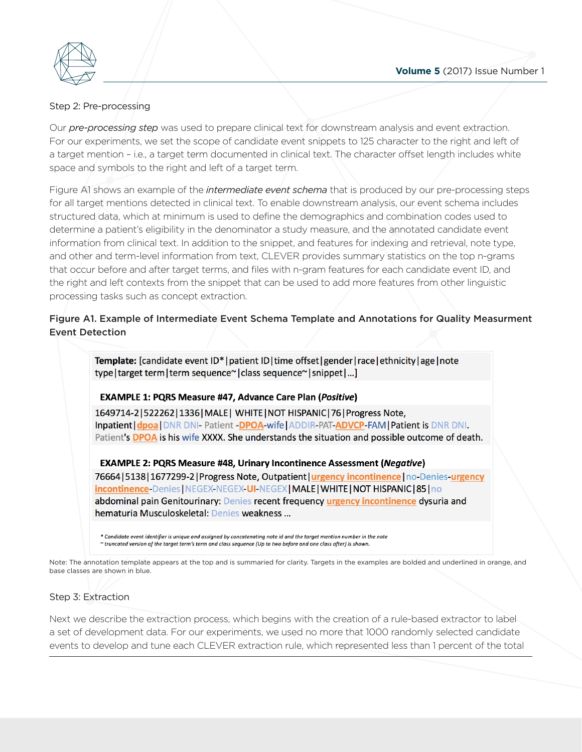

# Step 2: Pre-proces Step 2: Pre-processing

Our *pre-processing step* was used to prepare clinical text for downstream analysis and event extraction. For our experiments, we set the scope of candidate event snippets to 125 character to the right and left of a target mention – i.e., a target term documented in clinical text. The character offset length includes white space and symbols to the right and left of a target term.

for all target mentions detected in clinical text. To enable downstream analysis, our event schema includes structured data, which at minimum is used to define the demographics and combination codes used to space and symbols to t<br>Figure A1 shows an exa<br>for all target mentions *i* Figure A1 shows an example of the *intermediate event schema* that is produced by our pre-processing steps determine a patient's eligibility in the denominator a study measure, and the annotated candidate event information from clinical text. In addition to the snippet, and features for indexing and retrieval, note type, and other and term-level information from text, CLEVER provides summary statistics on the top n-grams that occur before and after target terms, and files with n-gram features for each candidate event ID, and the right and left contexts from the snippet that can be used to add more features from other linguistic processing tasks such as concept extraction.

# Figure A1. Example of Intermediate Event Schema Template and Annotations for Quality Measurment Event Detection

Template: [candidate event ID\*|patient ID|time offset|gender|race|ethnicity|age|note type | target term | term sequence~ | class sequence~ | snippet | ... ]

#### **EXAMPLE 1: PQRS Measure #47, Advance Care Plan (Positive)**

1649714-2|522262|1336|MALE| WHITE|NOT HISPANIC|76|Progress Note, Inpatient | dpoa | DNR DNI Patient - DPOA-wife | ADDIR-PAT-ADVCP-FAM | Patient is DNR DNI Patient's DPOA is his wife XXXX. She understands the situation and possible outcome of death.

**EXAMPLE 2: PQRS Measure #48, Urinary Incontinence Assessment (Negative)** 76664 | 5138 | 1677299-2 | Progress Note, Outpatient | urgency incontinence | no-Denies-urgency incontinence-Denies | NEGEX-NEGEX-UI-NEGEX | MALE | WHITE | NOT HISPANIC | 85 | no abdominal pain Genitourinary: Denies recent frequency urgency incontinence dysuria and hematuria Musculoskeletal: Denies weakness...

.<br>Candidate event identifier is uniaue and assianed by concatenatina note id and the taraet mention number in the note ~ truncated version of the target term's term and class sequence (Up to two before and one class after) is shown.

Note: The annotation template appears at the top and is summaried for clarity. Targets in the examples are bolded and underlined in orange, and base classes are shown in blue.

#### Step 3: Extraction

Next we describe the extraction process, which begins with the creation of a rule-based extractor to label a set of development data. For our experiments, we used no more that 1000 randomly selected candidate events to develop and tune each CLEVER extraction rule, which represented less than 1 percent of the total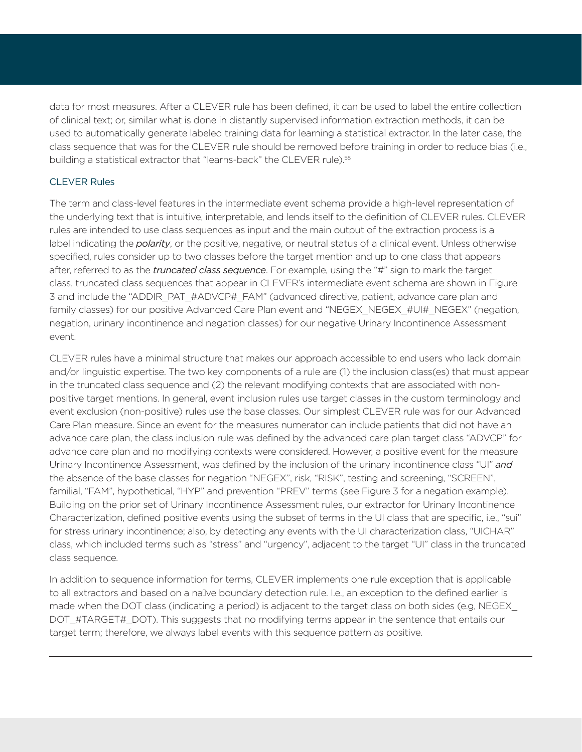data for most measures. After a CLEVER rule has been defined, it can be used to label the entire collection of clinical text; or, similar what is done in distantly supervised information extraction methods, it can be used to automatically generate labeled training data for learning a statistical extractor. In the later case, the class sequence that was for the CLEVER rule should be removed before training in order to reduce bias (i.e., building a statistical extractor that "learns-back" the CLEVER rule).<sup>55</sup>

#### CLEVER Rules

The term and class-level features in the intermediate event schema provide a high-level representation of the underlying text that is intuitive, interpretable, and lends itself to the definition of CLEVER rules. CLEVER rules are intended to use class sequences as input and the main output of the extraction process is a label indicating the *polarity*, or the positive, negative, or neutral status of a clinical event. Unless otherwise specified, rules consider up to two classes before the target mention and up to one class that appears after, referred to as the *truncated class sequence*. For example, using the "#" sign to mark the target class, truncated class sequences that appear in CLEVER's intermediate event schema are shown in Figure 3 and include the "ADDIR\_PAT\_#ADVCP#\_FAM" (advanced directive, patient, advance care plan and family classes) for our positive Advanced Care Plan event and "NEGEX\_NEGEX\_#UI#\_NEGEX" (negation, negation, urinary incontinence and negation classes) for our negative Urinary Incontinence Assessment event.

CLEVER rules have a minimal structure that makes our approach accessible to end users who lack domain and/or linguistic expertise. The two key components of a rule are (1) the inclusion class(es) that must appear in the truncated class sequence and (2) the relevant modifying contexts that are associated with nonpositive target mentions. In general, event inclusion rules use target classes in the custom terminology and event exclusion (non-positive) rules use the base classes. Our simplest CLEVER rule was for our Advanced Care Plan measure. Since an event for the measures numerator can include patients that did not have an advance care plan, the class inclusion rule was defined by the advanced care plan target class "ADVCP" for advance care plan and no modifying contexts were considered. However, a positive event for the measure Urinary Incontinence Assessment, was defined by the inclusion of the urinary incontinence class "UI" *and* the absence of the base classes for negation "NEGEX", risk, "RISK", testing and screening, "SCREEN", familial, "FAM", hypothetical, "HYP" and prevention "PREV" terms (see Figure 3 for a negation example). Building on the prior set of Urinary Incontinence Assessment rules, our extractor for Urinary Incontinence Characterization, defined positive events using the subset of terms in the UI class that are specific, i.e., "sui" for stress urinary incontinence; also, by detecting any events with the UI characterization class, "UICHAR" class, which included terms such as "stress" and "urgency", adjacent to the target "UI" class in the truncated class sequence.

In addition to sequence information for terms, CLEVER implements one rule exception that is applicable to all extractors and based on a nallve boundary detection rule. I.e., an exception to the defined earlier is made when the DOT class (indicating a period) is adjacent to the target class on both sides (e.g, NEGEX\_ DOT\_#TARGET#\_DOT). This suggests that no modifying terms appear in the sentence that entails our target term; therefore, we always label events with this sequence pattern as positive.